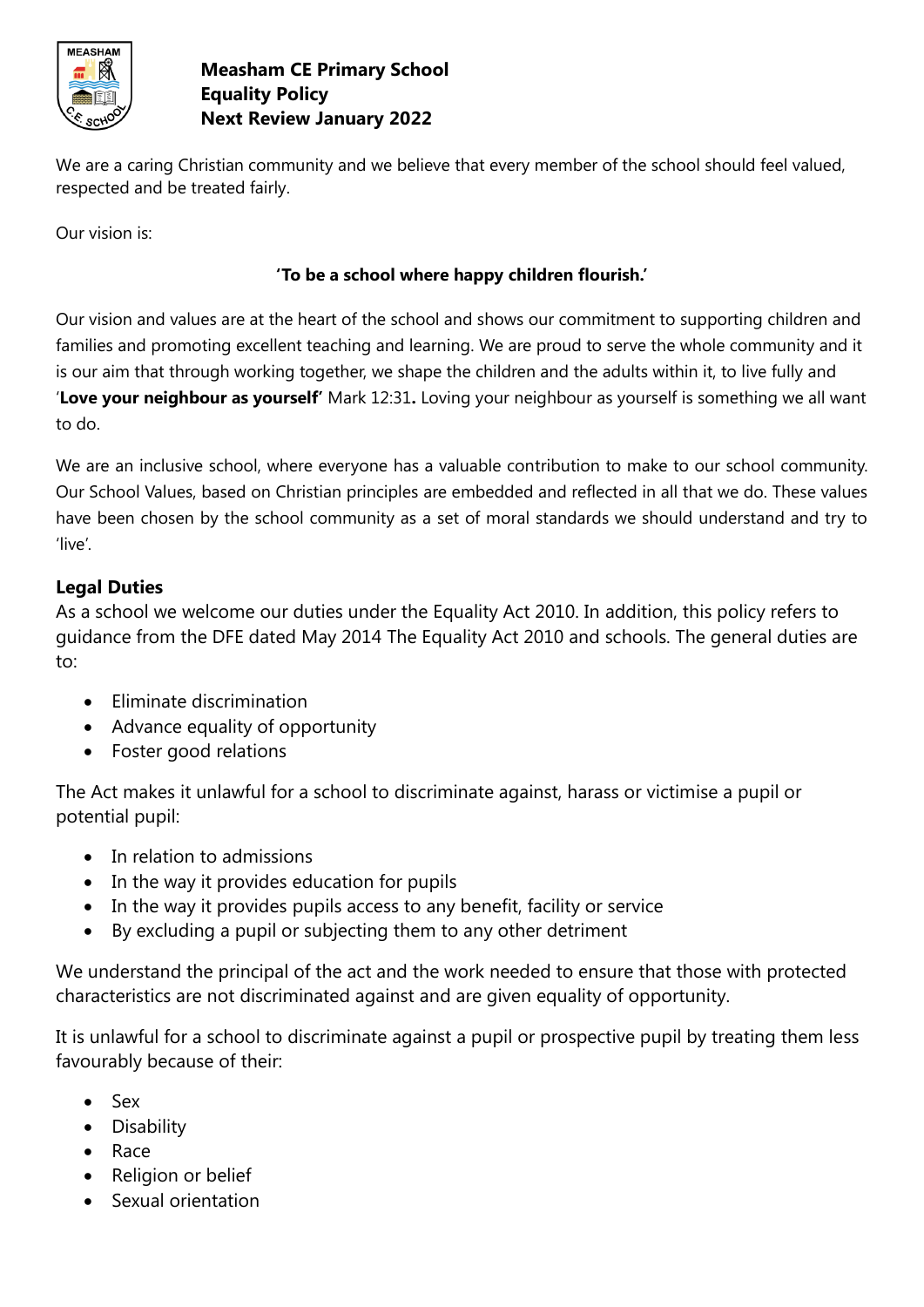

## **Measham CE Primary School Equality Policy Next Review January 2022**

We are a caring Christian community and we believe that every member of the school should feel valued, respected and be treated fairly.

Our vision is:

## **'To be a school where happy children flourish.'**

Our vision and values are at the heart of the school and shows our commitment to supporting children and families and promoting excellent teaching and learning. We are proud to serve the whole community and it is our aim that through working together, we shape the children and the adults within it, to live fully and '**Love your neighbour as yourself'** Mark 12:31**.** Loving your neighbour as yourself is something we all want to do.

We are an inclusive school, where everyone has a valuable contribution to make to our school community. Our School Values, based on Christian principles are embedded and reflected in all that we do. These values have been chosen by the school community as a set of moral standards we should understand and try to 'live'.

## **Legal Duties**

As a school we welcome our duties under the Equality Act 2010. In addition, this policy refers to guidance from the DFE dated May 2014 The Equality Act 2010 and schools. The general duties are to:

- Eliminate discrimination
- Advance equality of opportunity
- Foster good relations

The Act makes it unlawful for a school to discriminate against, harass or victimise a pupil or potential pupil:

- In relation to admissions
- In the way it provides education for pupils
- In the way it provides pupils access to any benefit, facility or service
- By excluding a pupil or subjecting them to any other detriment

We understand the principal of the act and the work needed to ensure that those with protected characteristics are not discriminated against and are given equality of opportunity.

It is unlawful for a school to discriminate against a pupil or prospective pupil by treating them less favourably because of their:

- Sex
- Disability
- Race
- Religion or belief
- Sexual orientation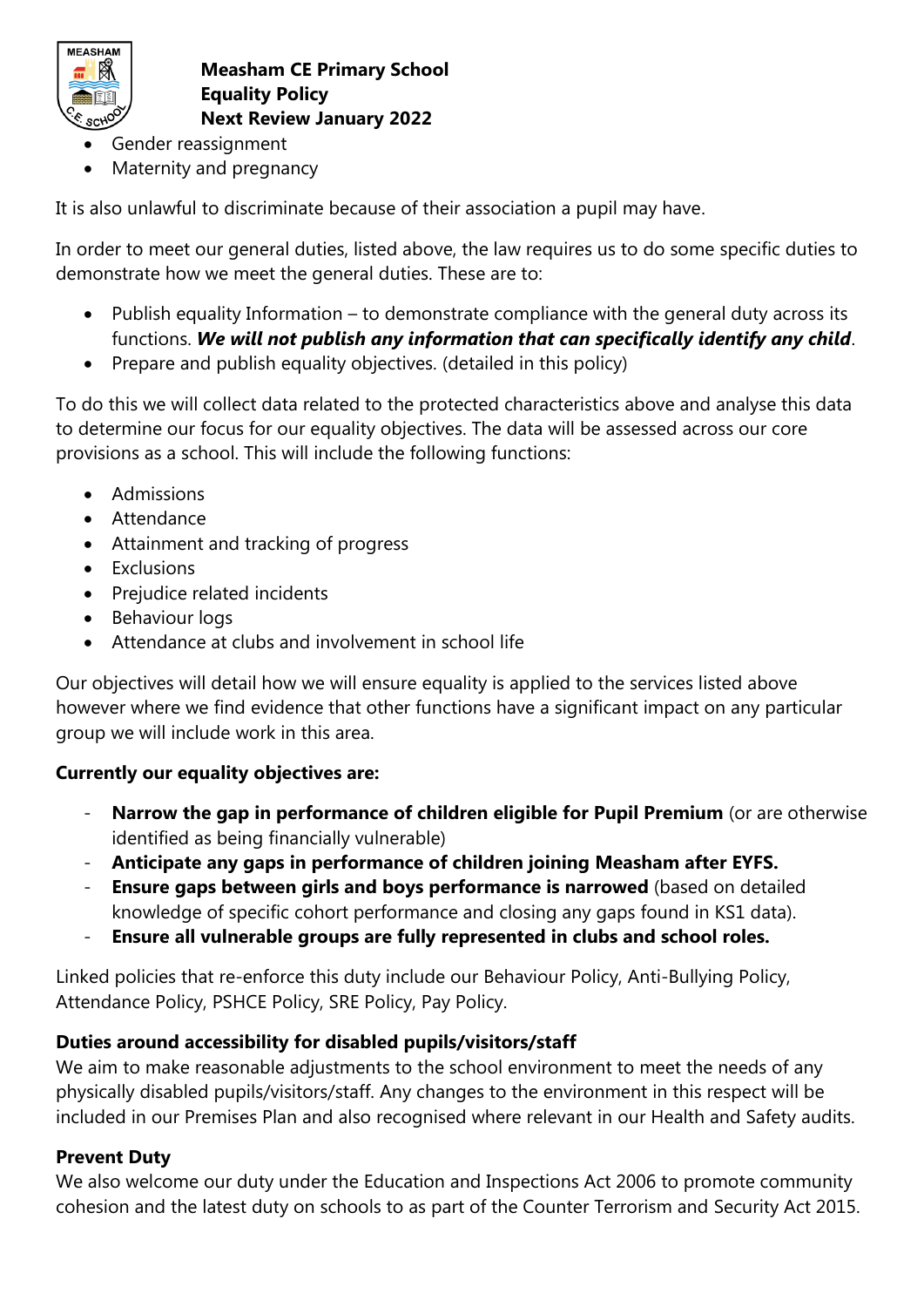

**Measham CE Primary School Equality Policy Next Review January 2022**

- Gender reassignment
- Maternity and pregnancy

It is also unlawful to discriminate because of their association a pupil may have.

In order to meet our general duties, listed above, the law requires us to do some specific duties to demonstrate how we meet the general duties. These are to:

- Publish equality Information to demonstrate compliance with the general duty across its functions. *We will not publish any information that can specifically identify any child*.
- Prepare and publish equality objectives. (detailed in this policy)

To do this we will collect data related to the protected characteristics above and analyse this data to determine our focus for our equality objectives. The data will be assessed across our core provisions as a school. This will include the following functions:

- Admissions
- Attendance
- Attainment and tracking of progress
- Exclusions
- Prejudice related incidents
- Behaviour logs
- Attendance at clubs and involvement in school life

Our objectives will detail how we will ensure equality is applied to the services listed above however where we find evidence that other functions have a significant impact on any particular group we will include work in this area.

# **Currently our equality objectives are:**

- **Narrow the gap in performance of children eligible for Pupil Premium** (or are otherwise identified as being financially vulnerable)
- **Anticipate any gaps in performance of children joining Measham after EYFS.**
- **Ensure gaps between girls and boys performance is narrowed** (based on detailed knowledge of specific cohort performance and closing any gaps found in KS1 data).
- **Ensure all vulnerable groups are fully represented in clubs and school roles.**

Linked policies that re-enforce this duty include our Behaviour Policy, Anti-Bullying Policy, Attendance Policy, PSHCE Policy, SRE Policy, Pay Policy.

# **Duties around accessibility for disabled pupils/visitors/staff**

We aim to make reasonable adjustments to the school environment to meet the needs of any physically disabled pupils/visitors/staff. Any changes to the environment in this respect will be included in our Premises Plan and also recognised where relevant in our Health and Safety audits.

# **Prevent Duty**

We also welcome our duty under the Education and Inspections Act 2006 to promote community cohesion and the latest duty on schools to as part of the Counter Terrorism and Security Act 2015.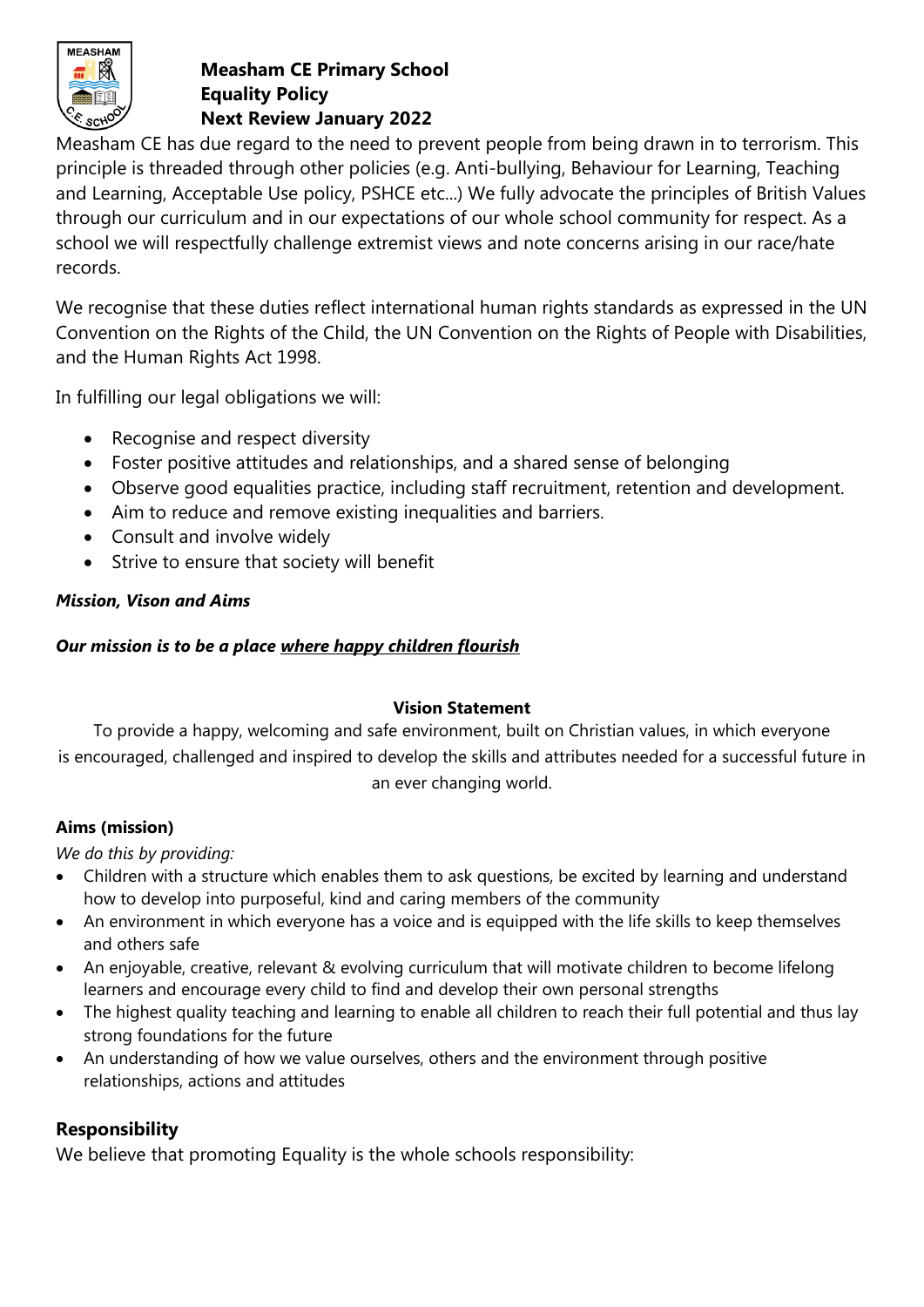

# **Measham CE Primary School Equality Policy**

**Next Review January 2022**

Measham CE has due regard to the need to prevent people from being drawn in to terrorism. This principle is threaded through other policies (e.g. Anti-bullying, Behaviour for Learning, Teaching and Learning, Acceptable Use policy, PSHCE etc...) We fully advocate the principles of British Values through our curriculum and in our expectations of our whole school community for respect. As a school we will respectfully challenge extremist views and note concerns arising in our race/hate records.

We recognise that these duties reflect international human rights standards as expressed in the UN Convention on the Rights of the Child, the UN Convention on the Rights of People with Disabilities, and the Human Rights Act 1998.

In fulfilling our legal obligations we will:

- Recognise and respect diversity
- Foster positive attitudes and relationships, and a shared sense of belonging
- Observe good equalities practice, including staff recruitment, retention and development.
- Aim to reduce and remove existing inequalities and barriers.
- Consult and involve widely
- Strive to ensure that society will benefit

#### *Mission, Vison and Aims*

#### *Our mission is to be a place where happy children flourish*

#### **Vision Statement**

To provide a happy, welcoming and safe environment, built on Christian values, in which everyone is encouraged, challenged and inspired to develop the skills and attributes needed for a successful future in an ever changing world.

#### **Aims (mission)**

*We do this by providing:*

- Children with a structure which enables them to ask questions, be excited by learning and understand how to develop into purposeful, kind and caring members of the community
- An environment in which everyone has a voice and is equipped with the life skills to keep themselves and others safe
- An enjoyable, creative, relevant & evolving curriculum that will motivate children to become lifelong learners and encourage every child to find and develop their own personal strengths
- The highest quality teaching and learning to enable all children to reach their full potential and thus lay strong foundations for the future
- An understanding of how we value ourselves, others and the environment through positive relationships, actions and attitudes

## **Responsibility**

We believe that promoting Equality is the whole schools responsibility: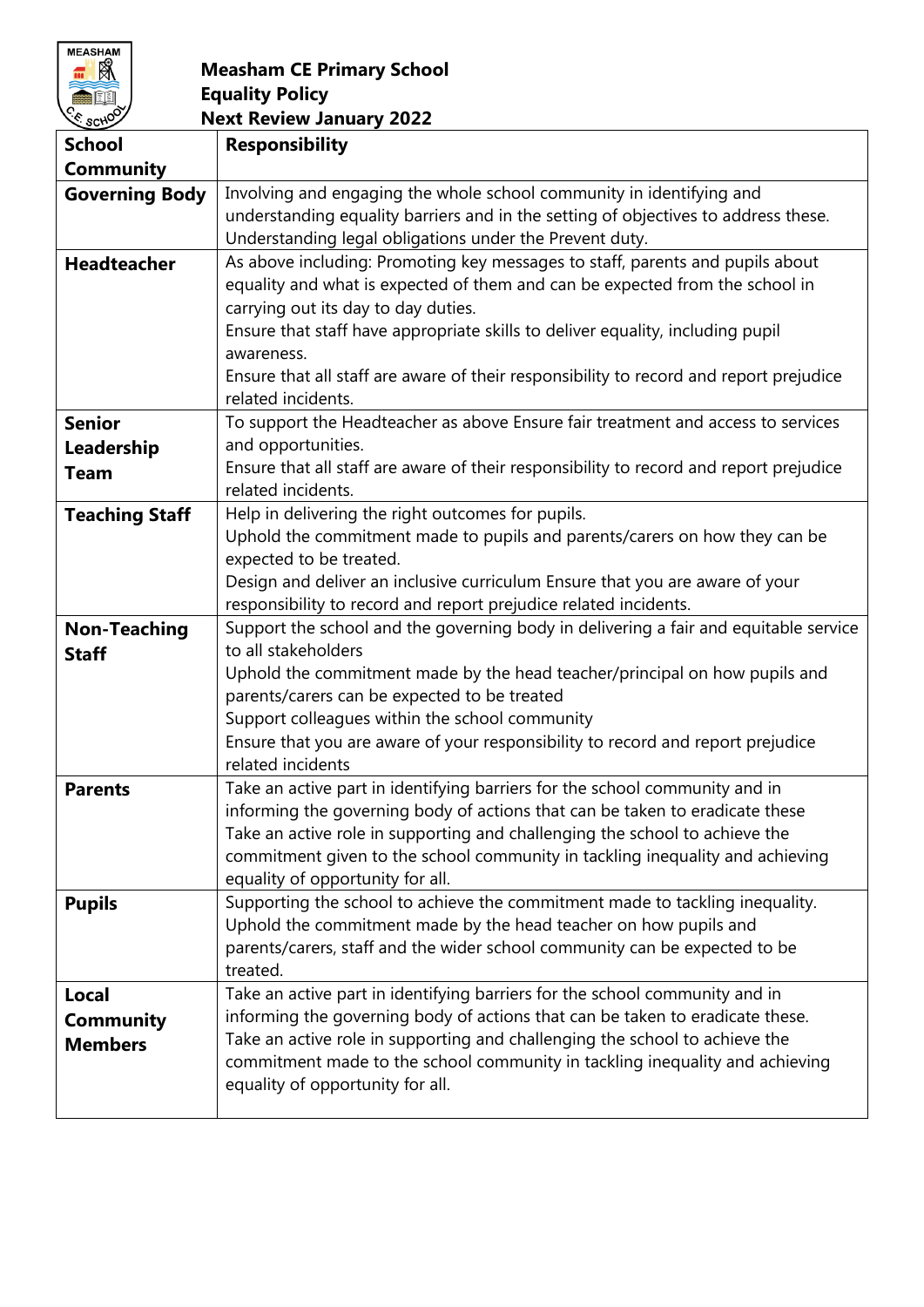

# **Measham CE Primary School Equality Policy**

| E SCHOOT<br><b>Next Review January 2022</b> |                                                                                                             |
|---------------------------------------------|-------------------------------------------------------------------------------------------------------------|
| <b>School</b>                               | <b>Responsibility</b>                                                                                       |
| <b>Community</b>                            |                                                                                                             |
| <b>Governing Body</b>                       | Involving and engaging the whole school community in identifying and                                        |
|                                             | understanding equality barriers and in the setting of objectives to address these.                          |
|                                             | Understanding legal obligations under the Prevent duty.                                                     |
| <b>Headteacher</b>                          | As above including: Promoting key messages to staff, parents and pupils about                               |
|                                             | equality and what is expected of them and can be expected from the school in                                |
|                                             | carrying out its day to day duties.                                                                         |
|                                             | Ensure that staff have appropriate skills to deliver equality, including pupil                              |
|                                             | awareness.                                                                                                  |
|                                             | Ensure that all staff are aware of their responsibility to record and report prejudice                      |
|                                             | related incidents.                                                                                          |
| <b>Senior</b>                               | To support the Headteacher as above Ensure fair treatment and access to services                            |
| Leadership                                  | and opportunities.                                                                                          |
| Team                                        | Ensure that all staff are aware of their responsibility to record and report prejudice                      |
|                                             | related incidents.                                                                                          |
| <b>Teaching Staff</b>                       | Help in delivering the right outcomes for pupils.                                                           |
|                                             | Uphold the commitment made to pupils and parents/carers on how they can be                                  |
|                                             | expected to be treated.                                                                                     |
|                                             | Design and deliver an inclusive curriculum Ensure that you are aware of your                                |
|                                             | responsibility to record and report prejudice related incidents.                                            |
| <b>Non-Teaching</b>                         | Support the school and the governing body in delivering a fair and equitable service<br>to all stakeholders |
| <b>Staff</b>                                | Uphold the commitment made by the head teacher/principal on how pupils and                                  |
|                                             | parents/carers can be expected to be treated                                                                |
|                                             | Support colleagues within the school community                                                              |
|                                             | Ensure that you are aware of your responsibility to record and report prejudice                             |
|                                             | related incidents                                                                                           |
| <b>Parents</b>                              | Take an active part in identifying barriers for the school community and in                                 |
|                                             | informing the governing body of actions that can be taken to eradicate these                                |
|                                             | Take an active role in supporting and challenging the school to achieve the                                 |
|                                             | commitment given to the school community in tackling inequality and achieving                               |
|                                             | equality of opportunity for all.                                                                            |
| <b>Pupils</b>                               | Supporting the school to achieve the commitment made to tackling inequality.                                |
|                                             | Uphold the commitment made by the head teacher on how pupils and                                            |
|                                             | parents/carers, staff and the wider school community can be expected to be                                  |
|                                             | treated.                                                                                                    |
| Local                                       | Take an active part in identifying barriers for the school community and in                                 |
| Community                                   | informing the governing body of actions that can be taken to eradicate these.                               |
| <b>Members</b>                              | Take an active role in supporting and challenging the school to achieve the                                 |
|                                             | commitment made to the school community in tackling inequality and achieving                                |
|                                             | equality of opportunity for all.                                                                            |
|                                             |                                                                                                             |